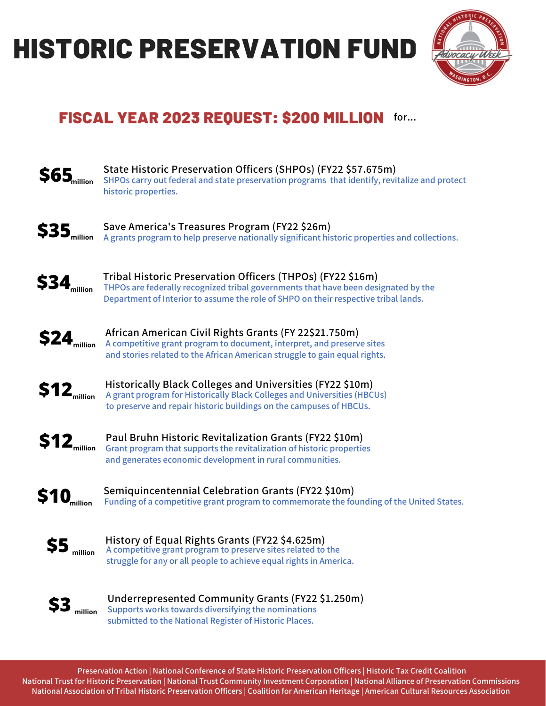## HISTORIC PRESERVATION FUND



### FISCAL YEAR 2023 REQUEST: \$200 MILLION **for...**



**Preservation Action | National Conference of State Historic Preservation Officers | Historic Tax Credit Coalition** National Trust for Historic Preservation | National Trust Community Investment Corporation | National Alliance of Preservation Commissions National Association of Tribal Historic Preservation Officers | Coalition for American Heritage | American Cultural Resources Association